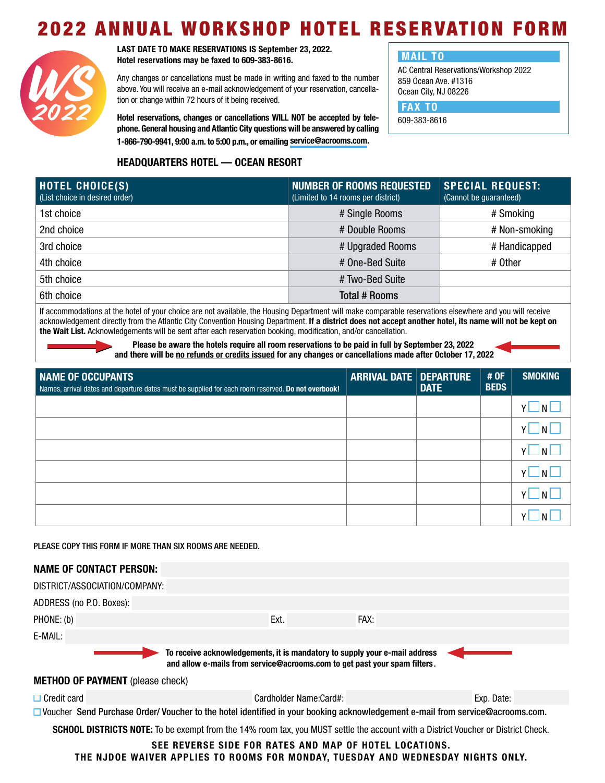## 2022 ANNUAL WORKSHOP HOTEL RESERVATION FORM



**LAST DATE TO MAKE RESERVATIONS IS September 23, 2022. Hotel reservations may be faxed to 609-383-8616.**

Any changes or cancellations must be made in writing and faxed to the number above. You will receive an e-mail acknowledgement of your reservation, cancellation or change within 72 hours of it being received.

**Hotel reservations, changes or cancellations WILL NOT be accepted by telephone. General housing and Atlantic City questions will be answered by calling 1-866-790-9941, 9:00 a.m. to 5:00 p.m., or emailing [service@acrooms.com.](mailto:service%40acrooms.com?subject=)**

## **MAIL TO**

AC Central Reservations/Workshop 2022 859 Ocean Ave. #1316 Ocean City, NJ 08226

 **FAX TO**

609-383-8616

## **HEADQUARTERS HOTEL — OCEAN RESORT**

| <b>HOTEL CHOICE(S)</b><br>(List choice in desired order) | NUMBER OF ROOMS REQUESTED<br>(Limited to 14 rooms per district) | <b>SPECIAL REQUEST:</b><br>(Cannot be quaranteed) |
|----------------------------------------------------------|-----------------------------------------------------------------|---------------------------------------------------|
| 1st choice                                               | # Single Rooms                                                  | # Smoking                                         |
| 2nd choice                                               | # Double Rooms                                                  | # Non-smoking                                     |
| 3rd choice                                               | # Upgraded Rooms                                                | # Handicapped                                     |
| 4th choice                                               | # One-Bed Suite                                                 | # Other                                           |
| 5th choice                                               | # Two-Bed Suite                                                 |                                                   |
| 6th choice                                               | Total # Rooms                                                   |                                                   |

If accommodations at the hotel of your choice are not available, the Housing Department will make comparable reservations elsewhere and you will receive acknowledgement directly from the Atlantic City Convention Housing Department. **If a district does not accept another hotel, its name will not be kept on the Wait List.** Acknowledgements will be sent after each reservation booking, modification, and/or cancellation.

> **Please be aware the hotels require all room reservations to be paid in full by September 23, 2022 and there will be no refunds or credits issued for any changes or cancellations made after October 17, 2022**

| NAME OF OCCUPANTS<br>Names, arrival dates and departure dates must be supplied for each room reserved. Do not overbook! | <b>ARRIVAL DATE DEPARTURE</b> | <b>DATE</b> | # OF<br><b>BEDS</b> | <b>SMOKING</b> |
|-------------------------------------------------------------------------------------------------------------------------|-------------------------------|-------------|---------------------|----------------|
|                                                                                                                         |                               |             |                     |                |
|                                                                                                                         |                               |             |                     |                |
|                                                                                                                         |                               |             |                     |                |
|                                                                                                                         |                               |             |                     |                |
|                                                                                                                         |                               |             |                     |                |
|                                                                                                                         |                               |             |                     |                |

PLEASE COPY THIS FORM IF MORE THAN SIX ROOMS ARE NEEDED.

| <b>NAME OF CONTACT PERSON:</b>                                                                                                                          |                        |      |            |  |  |  |
|---------------------------------------------------------------------------------------------------------------------------------------------------------|------------------------|------|------------|--|--|--|
| DISTRICT/ASSOCIATION/COMPANY:                                                                                                                           |                        |      |            |  |  |  |
| ADDRESS (no P.O. Boxes):                                                                                                                                |                        |      |            |  |  |  |
| PHONE: (b)                                                                                                                                              | Ext.                   | FAX: |            |  |  |  |
| E-MAIL:                                                                                                                                                 |                        |      |            |  |  |  |
| To receive acknowledgements, it is mandatory to supply your e-mail address<br>and allow e-mails from service@acrooms.com to get past your spam filters. |                        |      |            |  |  |  |
| <b>METHOD OF PAYMENT</b> (please check)                                                                                                                 |                        |      |            |  |  |  |
| $\Box$ Credit card                                                                                                                                      | Cardholder Name:Card#: |      | Exp. Date: |  |  |  |
| □ Voucher Send Purchase Order/ Voucher to the hotel identified in your booking acknowledgement e-mail from service@acrooms.com.                         |                        |      |            |  |  |  |
| <b>SCHOOL DISTRICTS NOTE:</b> To be exempt from the 14% room tax, you MUST settle the account with a District Voucher or District Check.                |                        |      |            |  |  |  |
| SEE REVERSE SIDE FOR RATES AND MAP OF HOTEL LOCATIONS.<br>THE NJDOE WAIVER APPLIES TO ROOMS FOR MONDAY. TUESDAY AND WEDNESDAY NIGHTS ONLY.              |                        |      |            |  |  |  |